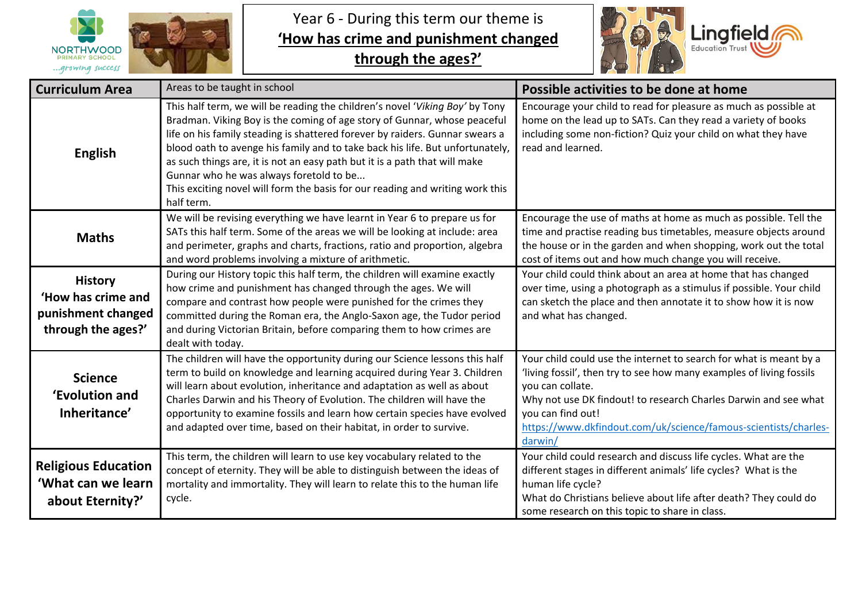

Year 6 - During this term our theme is **'How has crime and punishment changed** 

**through the ages?'**



| <b>Curriculum Area</b>                                                           | Areas to be taught in school                                                                                                                                                                                                                                                                                                                                                                                                                                                                                                                      | Possible activities to be done at home                                                                                                                                                                                                                                                                                               |
|----------------------------------------------------------------------------------|---------------------------------------------------------------------------------------------------------------------------------------------------------------------------------------------------------------------------------------------------------------------------------------------------------------------------------------------------------------------------------------------------------------------------------------------------------------------------------------------------------------------------------------------------|--------------------------------------------------------------------------------------------------------------------------------------------------------------------------------------------------------------------------------------------------------------------------------------------------------------------------------------|
| <b>English</b>                                                                   | This half term, we will be reading the children's novel 'Viking Boy' by Tony<br>Bradman. Viking Boy is the coming of age story of Gunnar, whose peaceful<br>life on his family steading is shattered forever by raiders. Gunnar swears a<br>blood oath to avenge his family and to take back his life. But unfortunately,<br>as such things are, it is not an easy path but it is a path that will make<br>Gunnar who he was always foretold to be<br>This exciting novel will form the basis for our reading and writing work this<br>half term. | Encourage your child to read for pleasure as much as possible at<br>home on the lead up to SATs. Can they read a variety of books<br>including some non-fiction? Quiz your child on what they have<br>read and learned.                                                                                                              |
| <b>Maths</b>                                                                     | We will be revising everything we have learnt in Year 6 to prepare us for<br>SATs this half term. Some of the areas we will be looking at include: area<br>and perimeter, graphs and charts, fractions, ratio and proportion, algebra<br>and word problems involving a mixture of arithmetic.                                                                                                                                                                                                                                                     | Encourage the use of maths at home as much as possible. Tell the<br>time and practise reading bus timetables, measure objects around<br>the house or in the garden and when shopping, work out the total<br>cost of items out and how much change you will receive.                                                                  |
| <b>History</b><br>'How has crime and<br>punishment changed<br>through the ages?' | During our History topic this half term, the children will examine exactly<br>how crime and punishment has changed through the ages. We will<br>compare and contrast how people were punished for the crimes they<br>committed during the Roman era, the Anglo-Saxon age, the Tudor period<br>and during Victorian Britain, before comparing them to how crimes are<br>dealt with today.                                                                                                                                                          | Your child could think about an area at home that has changed<br>over time, using a photograph as a stimulus if possible. Your child<br>can sketch the place and then annotate it to show how it is now<br>and what has changed.                                                                                                     |
| <b>Science</b><br>'Evolution and<br>Inheritance'                                 | The children will have the opportunity during our Science lessons this half<br>term to build on knowledge and learning acquired during Year 3. Children<br>will learn about evolution, inheritance and adaptation as well as about<br>Charles Darwin and his Theory of Evolution. The children will have the<br>opportunity to examine fossils and learn how certain species have evolved<br>and adapted over time, based on their habitat, in order to survive.                                                                                  | Your child could use the internet to search for what is meant by a<br>'living fossil', then try to see how many examples of living fossils<br>you can collate.<br>Why not use DK findout! to research Charles Darwin and see what<br>you can find out!<br>https://www.dkfindout.com/uk/science/famous-scientists/charles-<br>darwin/ |
| <b>Religious Education</b><br>'What can we learn<br>about Eternity?'             | This term, the children will learn to use key vocabulary related to the<br>concept of eternity. They will be able to distinguish between the ideas of<br>mortality and immortality. They will learn to relate this to the human life<br>cycle.                                                                                                                                                                                                                                                                                                    | Your child could research and discuss life cycles. What are the<br>different stages in different animals' life cycles? What is the<br>human life cycle?<br>What do Christians believe about life after death? They could do<br>some research on this topic to share in class.                                                        |